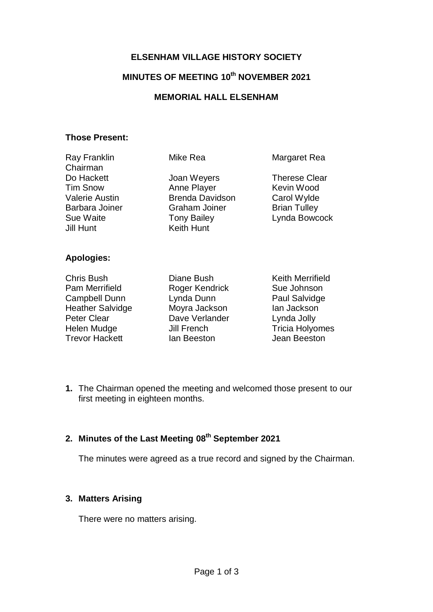## **ELSENHAM VILLAGE HISTORY SOCIETY**

# **MINUTES OF MEETING 10th NOVEMBER 2021**

#### **MEMORIAL HALL ELSENHAM**

#### **Those Present:**

| <b>Ray Franklin</b><br>Chairman                                                                    | Mike Rea                                                                                                                | Margaret Rea                                                                              |
|----------------------------------------------------------------------------------------------------|-------------------------------------------------------------------------------------------------------------------------|-------------------------------------------------------------------------------------------|
| Do Hackett<br><b>Tim Snow</b><br><b>Valerie Austin</b><br>Barbara Joiner<br>Sue Waite<br>Jill Hunt | Joan Weyers<br>Anne Player<br><b>Brenda Davidson</b><br><b>Graham Joiner</b><br><b>Tony Bailey</b><br><b>Keith Hunt</b> | <b>Therese Clear</b><br>Kevin Wood<br>Carol Wylde<br><b>Brian Tulley</b><br>Lynda Bowcock |
| <b>Apologies:</b>                                                                                  |                                                                                                                         |                                                                                           |
| <b>Chris Bush</b><br>Pam Merrifield<br><b>Campbell Dunn</b>                                        | Diane Bush<br>Roger Kendrick<br>Lynda Dunn                                                                              | <b>Keith Merrifield</b><br>Sue Johnson<br>Paul Salvidge                                   |

Heather Salvidge **Moyra Jackson** Ian Jackson Peter Clear Dave Verlander Lynda Jolly<br>
Helen Mudge Jill French Tricia Holyomes<br>
Trevor Hackett lan Beeston Jean Beeston Helen Mudge Tricia Holyomes Trevor Hackett Ian Beeston Jean Beeston

**1.** The Chairman opened the meeting and welcomed those present to our first meeting in eighteen months.

# **2. Minutes of the Last Meeting 08th September 2021**

The minutes were agreed as a true record and signed by the Chairman.

## **3. Matters Arising**

There were no matters arising.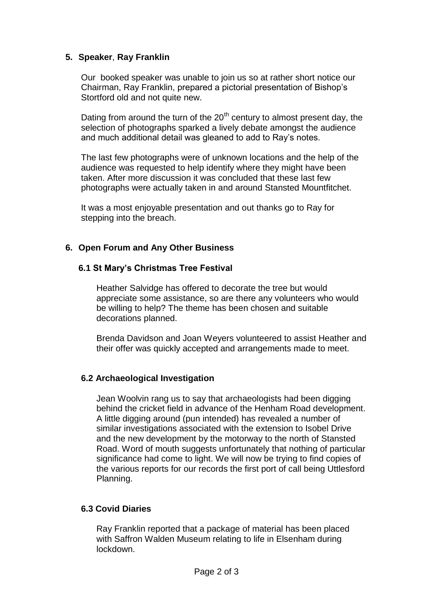#### **5. Speaker**, **Ray Franklin**

Our booked speaker was unable to join us so at rather short notice our Chairman, Ray Franklin, prepared a pictorial presentation of Bishop's Stortford old and not quite new.

Dating from around the turn of the  $20<sup>th</sup>$  century to almost present day, the selection of photographs sparked a lively debate amongst the audience and much additional detail was gleaned to add to Ray's notes.

The last few photographs were of unknown locations and the help of the audience was requested to help identify where they might have been taken. After more discussion it was concluded that these last few photographs were actually taken in and around Stansted Mountfitchet.

It was a most enjoyable presentation and out thanks go to Ray for stepping into the breach.

## **6. Open Forum and Any Other Business**

## **6.1 St Mary's Christmas Tree Festival**

Heather Salvidge has offered to decorate the tree but would appreciate some assistance, so are there any volunteers who would be willing to help? The theme has been chosen and suitable decorations planned.

Brenda Davidson and Joan Weyers volunteered to assist Heather and their offer was quickly accepted and arrangements made to meet.

## **6.2 Archaeological Investigation**

Jean Woolvin rang us to say that archaeologists had been digging behind the cricket field in advance of the Henham Road development. A little digging around (pun intended) has revealed a number of similar investigations associated with the extension to Isobel Drive and the new development by the motorway to the north of Stansted Road. Word of mouth suggests unfortunately that nothing of particular significance had come to light. We will now be trying to find copies of the various reports for our records the first port of call being Uttlesford Planning.

## **6.3 Covid Diaries**

Ray Franklin reported that a package of material has been placed with Saffron Walden Museum relating to life in Elsenham during lockdown.